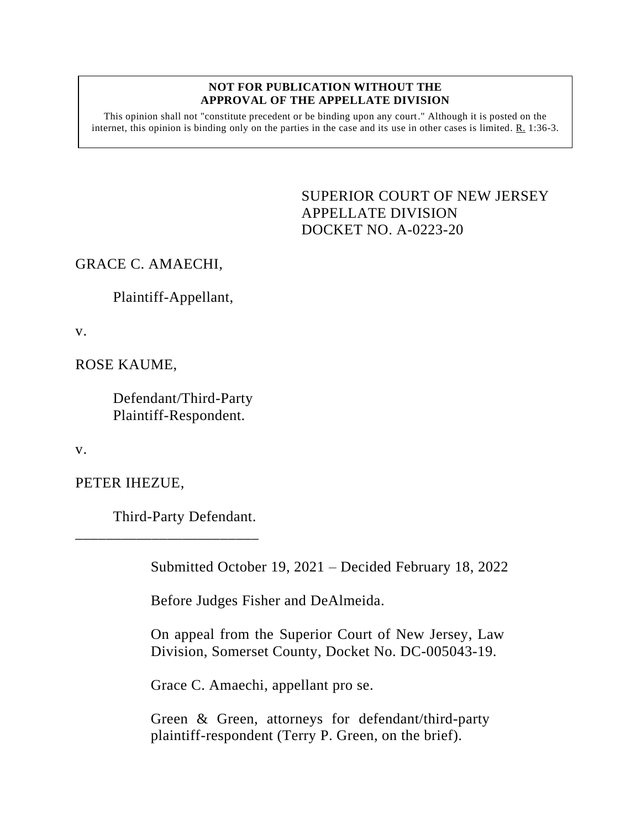#### **NOT FOR PUBLICATION WITHOUT THE APPROVAL OF THE APPELLATE DIVISION**

This opinion shall not "constitute precedent or be binding upon any court." Although it is posted on the internet, this opinion is binding only on the parties in the case and its use in other cases is limited. R. 1:36-3.

> <span id="page-0-0"></span>SUPERIOR COURT OF NEW JERSEY APPELLATE DIVISION DOCKET NO. A-0223-20

# GRACE C. AMAECHI,

Plaintiff-Appellant,

v.

ROSE KAUME,

Defendant/Third-Party Plaintiff-Respondent.

v.

PETER IHEZUE,

Third-Party Defendant.

\_\_\_\_\_\_\_\_\_\_\_\_\_\_\_\_\_\_\_\_\_\_\_\_

Submitted October 19, 2021 – Decided February 18, 2022

Before Judges Fisher and DeAlmeida.

On appeal from the Superior Court of New Jersey, Law Division, Somerset County, Docket No. DC-005043-19.

Grace C. Amaechi, appellant pro se.

Green & Green, attorneys for defendant/third-party plaintiff-respondent (Terry P. Green, on the brief).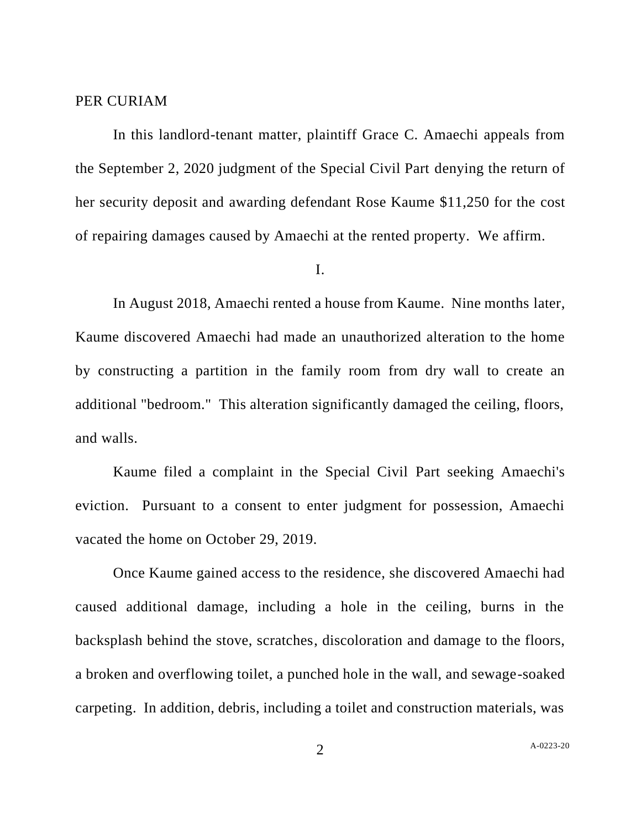### PER CURIAM

In this landlord-tenant matter, plaintiff Grace C. Amaechi appeals from the September 2, 2020 judgment of the Special Civil Part denying the return of her security deposit and awarding defendant Rose Kaume \$11,250 for the cost of repairing damages caused by Amaechi at the rented property. We affirm.

## I.

In August 2018, Amaechi rented a house from Kaume. Nine months later, Kaume discovered Amaechi had made an unauthorized alteration to the home by constructing a partition in the family room from dry wall to create an additional "bedroom." This alteration significantly damaged the ceiling, floors, and walls.

Kaume filed a complaint in the Special Civil Part seeking Amaechi's eviction. Pursuant to a consent to enter judgment for possession, Amaechi vacated the home on October 29, 2019.

Once Kaume gained access to the residence, she discovered Amaechi had caused additional damage, including a hole in the ceiling, burns in the backsplash behind the stove, scratches, discoloration and damage to the floors, a broken and overflowing toilet, a punched hole in the wall, and sewage-soaked carpeting. In addition, debris, including a toilet and construction materials, was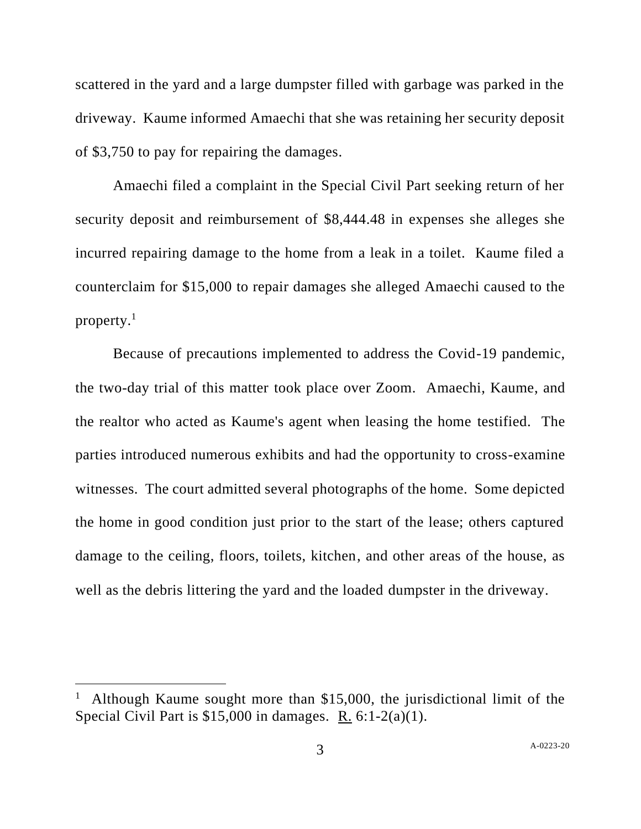scattered in the yard and a large dumpster filled with garbage was parked in the driveway. Kaume informed Amaechi that she was retaining her security deposit of \$3,750 to pay for repairing the damages.

Amaechi filed a complaint in the Special Civil Part seeking return of her security deposit and reimbursement of \$8,444.48 in expenses she alleges she incurred repairing damage to the home from a leak in a toilet. Kaume filed a counterclaim for \$15,000 to repair damages she alleged Amaechi caused to the property.<sup>1</sup>

Because of precautions implemented to address the Covid-19 pandemic, the two-day trial of this matter took place over Zoom. Amaechi, Kaume, and the realtor who acted as Kaume's agent when leasing the home testified. The parties introduced numerous exhibits and had the opportunity to cross-examine witnesses. The court admitted several photographs of the home. Some depicted the home in good condition just prior to the start of the lease; others captured damage to the ceiling, floors, toilets, kitchen, and other areas of the house, as well as the debris littering the yard and the loaded dumpster in the driveway.

<sup>1</sup> Although Kaume sought more than \$15,000, the jurisdictional limit of the Special Civil Part is \$15,000 in damages. R. 6:1-2(a)(1).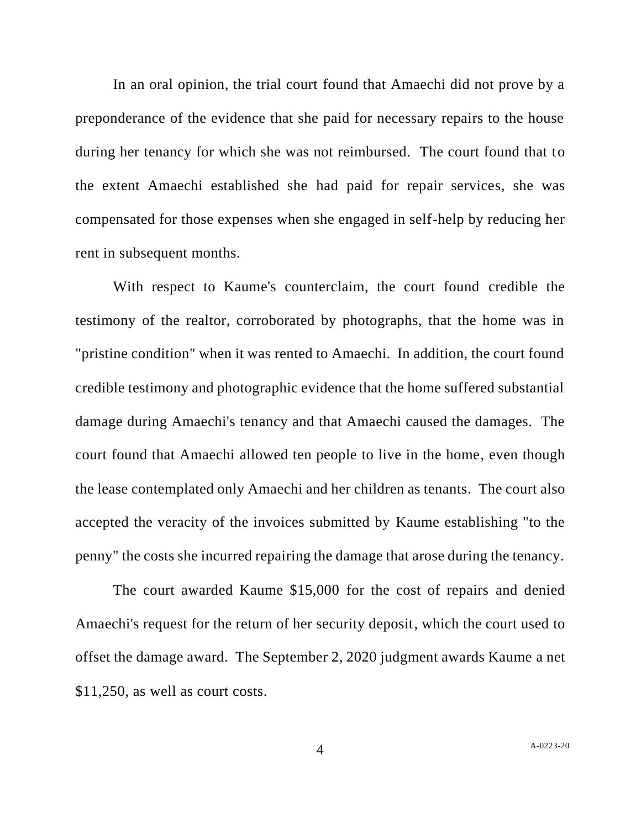In an oral opinion, the trial court found that Amaechi did not prove by a preponderance of the evidence that she paid for necessary repairs to the house during her tenancy for which she was not reimbursed. The court found that to the extent Amaechi established she had paid for repair services, she was compensated for those expenses when she engaged in self-help by reducing her rent in subsequent months.

With respect to Kaume's counterclaim, the court found credible the testimony of the realtor, corroborated by photographs, that the home was in "pristine condition" when it was rented to Amaechi. In addition, the court found credible testimony and photographic evidence that the home suffered substantial damage during Amaechi's tenancy and that Amaechi caused the damages. The court found that Amaechi allowed ten people to live in the home, even though the lease contemplated only Amaechi and her children as tenants. The court also accepted the veracity of the invoices submitted by Kaume establishing "to the penny" the costs she incurred repairing the damage that arose during the tenancy.

The court awarded Kaume \$15,000 for the cost of repairs and denied Amaechi's request for the return of her security deposit, which the court used to offset the damage award. The September 2, 2020 judgment awards Kaume a net \$11,250, as well as court costs.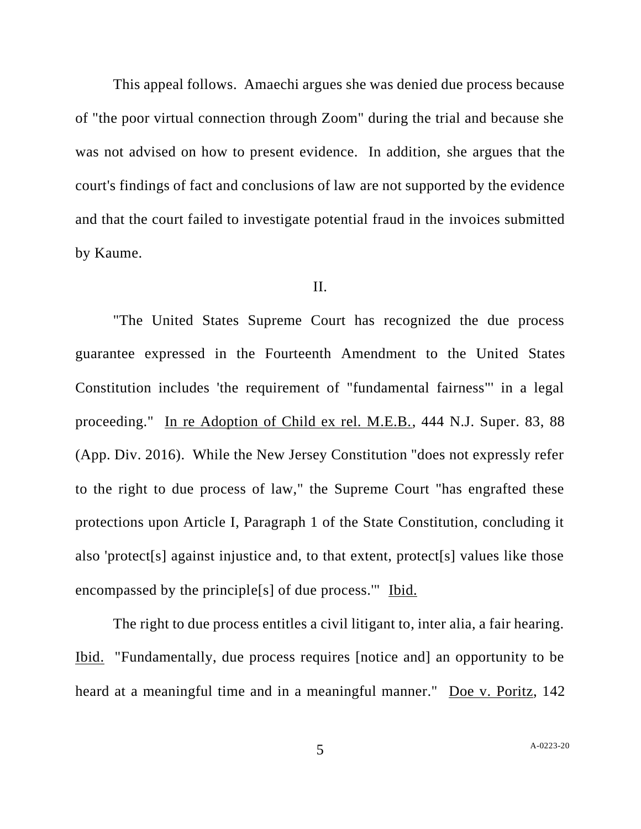This appeal follows. Amaechi argues she was denied due process because of "the poor virtual connection through Zoom" during the trial and because she was not advised on how to present evidence. In addition, she argues that the court's findings of fact and conclusions of law are not supported by the evidence and that the court failed to investigate potential fraud in the invoices submitted by Kaume.

## II.

"The United States Supreme Court has recognized the due process guarantee expressed in the Fourteenth Amendment to the United States Constitution includes 'the requirement of "fundamental fairness"' in a legal proceeding." In re Adoption of Child ex rel. M.E.B., 444 N.J. Super. 83, 88 (App. Div. 2016). While the New Jersey Constitution "does not expressly refer to the right to due process of law," the Supreme Court "has engrafted these protections upon Article I, Paragraph 1 of the State Constitution, concluding it also 'protect[s] against injustice and, to that extent, protect[s] values like those encompassed by the principle[s] of due process.'" Ibid.

The right to due process entitles a civil litigant to, inter alia, a fair hearing. Ibid. "Fundamentally, due process requires [notice and] an opportunity to be heard at a meaningful time and in a meaningful manner." Doe v. Poritz, 142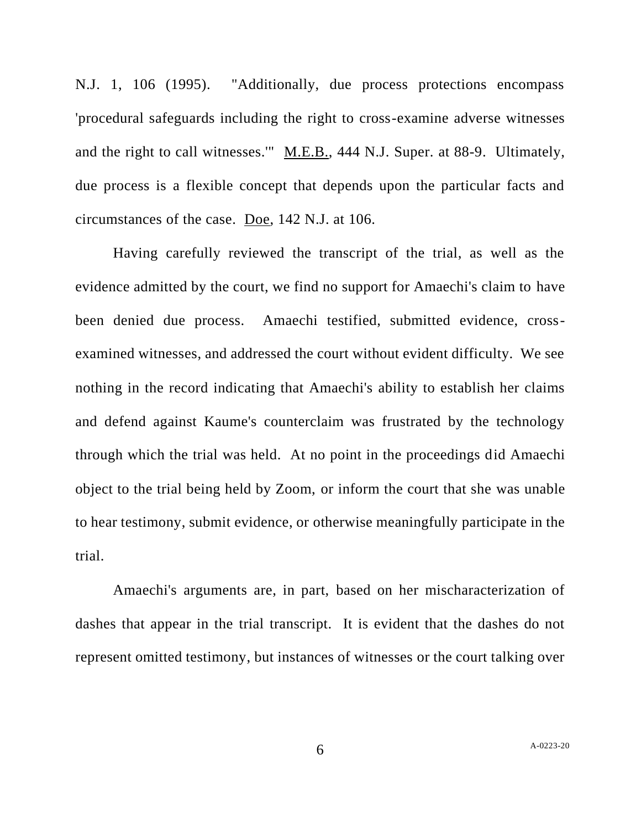N.J. 1, 106 (1995). "Additionally, due process protections encompass 'procedural safeguards including the right to cross-examine adverse witnesses and the right to call witnesses.'" M.E.B., 444 N.J. Super. at 88-9. Ultimately, due process is a flexible concept that depends upon the particular facts and circumstances of the case. Doe, 142 N.J. at 106.

Having carefully reviewed the transcript of the trial, as well as the evidence admitted by the court, we find no support for Amaechi's claim to have been denied due process. Amaechi testified, submitted evidence, crossexamined witnesses, and addressed the court without evident difficulty. We see nothing in the record indicating that Amaechi's ability to establish her claims and defend against Kaume's counterclaim was frustrated by the technology through which the trial was held. At no point in the proceedings did Amaechi object to the trial being held by Zoom, or inform the court that she was unable to hear testimony, submit evidence, or otherwise meaningfully participate in the trial.

Amaechi's arguments are, in part, based on her mischaracterization of dashes that appear in the trial transcript. It is evident that the dashes do not represent omitted testimony, but instances of witnesses or the court talking over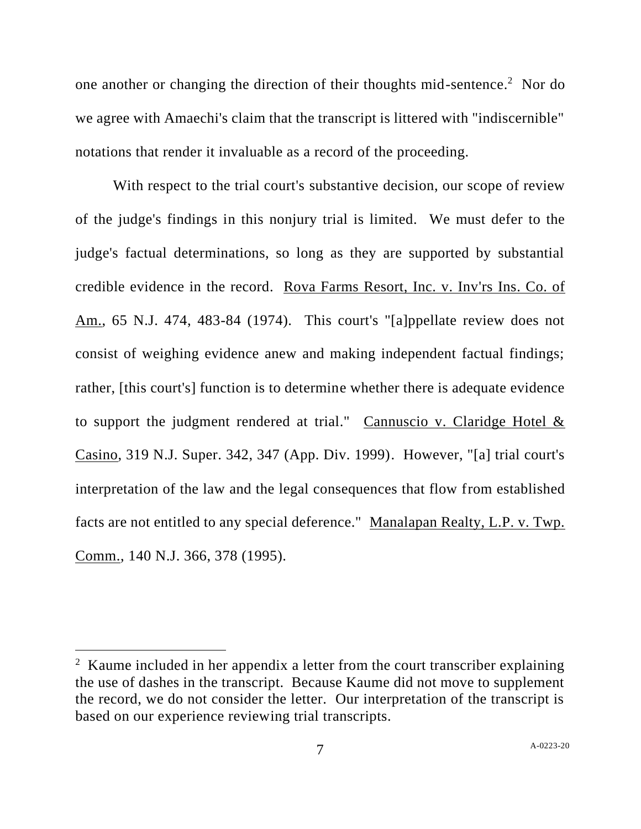one another or changing the direction of their thoughts mid-sentence.<sup>2</sup> Nor do we agree with Amaechi's claim that the transcript is littered with "indiscernible" notations that render it invaluable as a record of the proceeding.

With respect to the trial court's substantive decision, our scope of review of the judge's findings in this nonjury trial is limited. We must defer to the judge's factual determinations, so long as they are supported by substantial credible evidence in the record. Rova Farms Resort, Inc. v. Inv'rs Ins. Co. of Am., 65 N.J. 474, 483-84 (1974). This court's "[a]ppellate review does not consist of weighing evidence anew and making independent factual findings; rather, [this court's] function is to determine whether there is adequate evidence to support the judgment rendered at trial." Cannuscio v. Claridge Hotel & Casino, 319 N.J. Super. 342, 347 (App. Div. 1999). However, "[a] trial court's interpretation of the law and the legal consequences that flow from established facts are not entitled to any special deference." Manalapan Realty, L.P. v. Twp. Comm., 140 N.J. 366, 378 (1995).

<sup>&</sup>lt;sup>2</sup> Kaume included in her appendix a letter from the court transcriber explaining the use of dashes in the transcript. Because Kaume did not move to supplement the record, we do not consider the letter. Our interpretation of the transcript is based on our experience reviewing trial transcripts.